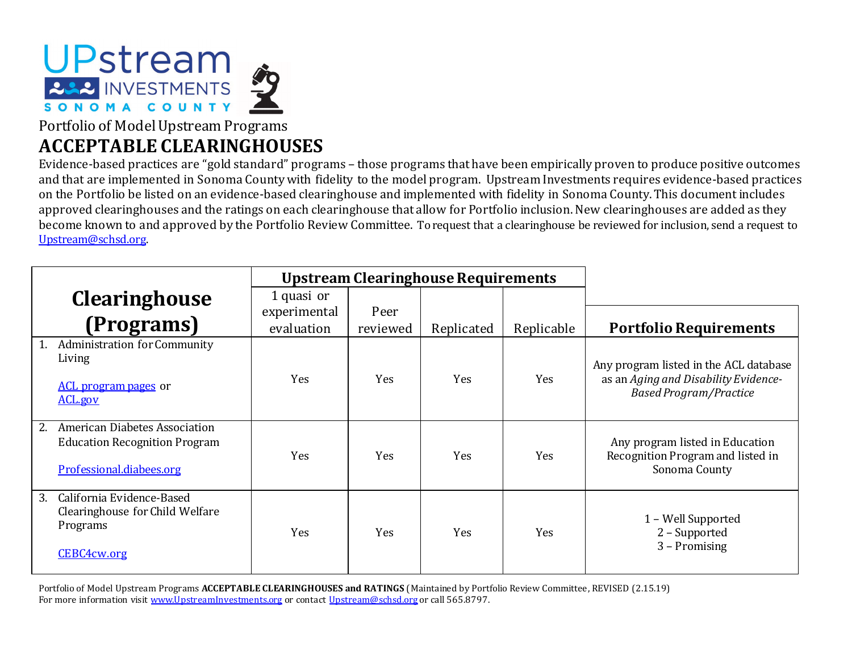

Portfolio of Model Upstream Programs **ACCEPTABLE CLEARINGHOUSES**

Evidence-based practices are "gold standard" programs – those programs that have been empirically proven to produce positive outcomes and that are implemented in Sonoma County with fidelity to the model program. Upstream Investments requires evidence-based practices on the Portfolio be listed on an evidence-based clearinghouse and implemented with fidelity in Sonoma County. This document includes approved clearinghouses and the ratings on each clearinghouse that allow for Portfolio inclusion. New clearinghouses are added as they become known to and approved by the Portfolio Review Committee. To request that a clearinghouse be reviewed for inclusion, send a request to [Upstream@schsd.org.](mailto:Upstream@schsd.org) 

|                                                                                                         |                            | <b>Upstream Clearinghouse Requirements</b> |            |            |                                                                                                                 |
|---------------------------------------------------------------------------------------------------------|----------------------------|--------------------------------------------|------------|------------|-----------------------------------------------------------------------------------------------------------------|
| <b>Clearinghouse</b>                                                                                    | 1 quasi or                 |                                            |            |            |                                                                                                                 |
| (Programs)                                                                                              | experimental<br>evaluation | Peer<br>reviewed                           | Replicated | Replicable | <b>Portfolio Requirements</b>                                                                                   |
| <b>Administration for Community</b><br>Living<br><b>ACL program pages or</b><br>ACL.gov                 | Yes                        | <b>Yes</b>                                 | Yes        | Yes        | Any program listed in the ACL database<br>as an Aging and Disability Evidence-<br><b>Based Program/Practice</b> |
| American Diabetes Association<br>2.<br><b>Education Recognition Program</b><br>Professional.diabees.org | Yes                        | Yes                                        | Yes        | Yes        | Any program listed in Education<br>Recognition Program and listed in<br>Sonoma County                           |
| California Evidence-Based<br>3.<br>Clearinghouse for Child Welfare<br>Programs<br>CEBC4cw.org           | Yes                        | Yes                                        | Yes        | Yes        | 1 – Well Supported<br>2 - Supported<br>3 - Promising                                                            |

Portfolio of Model Upstream Programs **ACCEPTABLE CLEARINGHOUSES and RATINGS** (Maintained by Portfolio Review Committee, REVISED (2.15.19) For more information visit [www.UpstreamInvestments.org](http://www.upstreaminvestments.org/) or contac[t Upstream@schsd.org](mailto:Upstream@schsd.org) or call 565.8797.